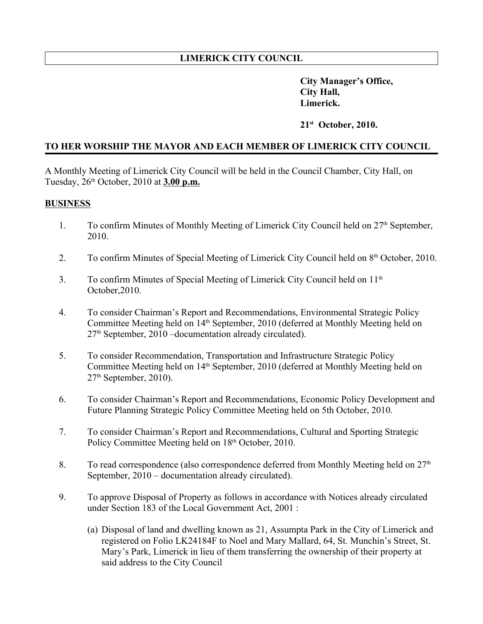## **LIMERICK CITY COUNCIL**

 **City Manager's Office, City Hall, Limerick.**

### **21st October, 2010.**

## **TO HER WORSHIP THE MAYOR AND EACH MEMBER OF LIMERICK CITY COUNCIL**

A Monthly Meeting of Limerick City Council will be held in the Council Chamber, City Hall, on Tuesday, 26th October, 2010 at **3.00 p.m.**

#### **BUSINESS**

- 1. To confirm Minutes of Monthly Meeting of Limerick City Council held on 27<sup>th</sup> September, 2010.
- 2. To confirm Minutes of Special Meeting of Limerick City Council held on 8th October, 2010.
- 3. To confirm Minutes of Special Meeting of Limerick City Council held on 11th October,2010.
- 4. To consider Chairman's Report and Recommendations, Environmental Strategic Policy Committee Meeting held on 14th September, 2010 (deferred at Monthly Meeting held on 27th September, 2010 –documentation already circulated).
- 5. To consider Recommendation, Transportation and Infrastructure Strategic Policy Committee Meeting held on 14<sup>th</sup> September, 2010 (deferred at Monthly Meeting held on  $27<sup>th</sup>$  September, 2010).
- 6. To consider Chairman's Report and Recommendations, Economic Policy Development and Future Planning Strategic Policy Committee Meeting held on 5th October, 2010.
- 7. To consider Chairman's Report and Recommendations, Cultural and Sporting Strategic Policy Committee Meeting held on 18<sup>th</sup> October, 2010.
- 8. To read correspondence (also correspondence deferred from Monthly Meeting held on  $27<sup>th</sup>$ September, 2010 – documentation already circulated).
- 9. To approve Disposal of Property as follows in accordance with Notices already circulated under Section 183 of the Local Government Act, 2001 :
	- (a) Disposal of land and dwelling known as 21, Assumpta Park in the City of Limerick and registered on Folio LK24184F to Noel and Mary Mallard, 64, St. Munchin's Street, St. Mary's Park, Limerick in lieu of them transferring the ownership of their property at said address to the City Council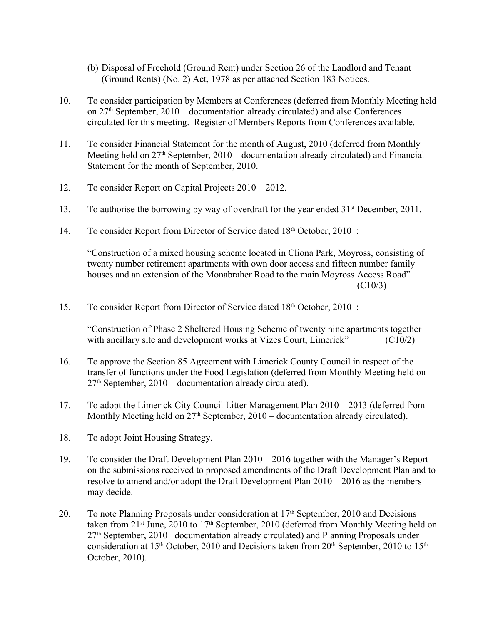- (b) Disposal of Freehold (Ground Rent) under Section 26 of the Landlord and Tenant (Ground Rents) (No. 2) Act, 1978 as per attached Section 183 Notices.
- 10. To consider participation by Members at Conferences (deferred from Monthly Meeting held on  $27<sup>th</sup>$  September,  $2010$  – documentation already circulated) and also Conferences circulated for this meeting. Register of Members Reports from Conferences available.
- 11. To consider Financial Statement for the month of August, 2010 (deferred from Monthly Meeting held on  $27<sup>th</sup>$  September,  $2010$  – documentation already circulated) and Financial Statement for the month of September, 2010.
- 12. To consider Report on Capital Projects 2010 2012.
- 13. To authorise the borrowing by way of overdraft for the year ended 31<sup>st</sup> December, 2011.
- 14. To consider Report from Director of Service dated 18th October, 2010 :

"Construction of a mixed housing scheme located in Cliona Park, Moyross, consisting of twenty number retirement apartments with own door access and fifteen number family houses and an extension of the Monabraher Road to the main Moyross Access Road" (C10/3)

15. To consider Report from Director of Service dated  $18<sup>th</sup>$  October, 2010 :

"Construction of Phase 2 Sheltered Housing Scheme of twenty nine apartments together with ancillary site and development works at Vizes Court, Limerick" (C10/2)

- 16. To approve the Section 85 Agreement with Limerick County Council in respect of the transfer of functions under the Food Legislation (deferred from Monthly Meeting held on  $27<sup>th</sup>$  September,  $2010$  – documentation already circulated).
- 17. To adopt the Limerick City Council Litter Management Plan 2010 2013 (deferred from Monthly Meeting held on  $27<sup>th</sup>$  September,  $2010$  – documentation already circulated).
- 18. To adopt Joint Housing Strategy.
- 19. To consider the Draft Development Plan 2010 2016 together with the Manager's Report on the submissions received to proposed amendments of the Draft Development Plan and to resolve to amend and/or adopt the Draft Development Plan 2010 – 2016 as the members may decide.
- 20. To note Planning Proposals under consideration at  $17<sup>th</sup>$  September, 2010 and Decisions taken from 21<sup>st</sup> June, 2010 to 17<sup>th</sup> September, 2010 (deferred from Monthly Meeting held on  $27<sup>th</sup>$  September, 2010 –documentation already circulated) and Planning Proposals under consideration at  $15<sup>th</sup>$  October, 2010 and Decisions taken from  $20<sup>th</sup>$  September, 2010 to  $15<sup>th</sup>$ October, 2010).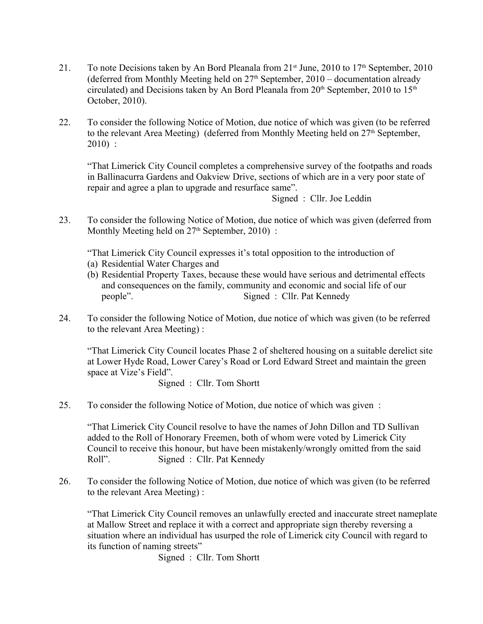- 21. To note Decisions taken by An Bord Pleanala from  $21<sup>st</sup>$  June, 2010 to  $17<sup>th</sup>$  September, 2010 (deferred from Monthly Meeting held on  $27<sup>th</sup>$  September,  $2010 -$  documentation already circulated) and Decisions taken by An Bord Pleanala from  $20<sup>th</sup>$  September,  $2010$  to  $15<sup>th</sup>$ October, 2010).
- 22. To consider the following Notice of Motion, due notice of which was given (to be referred to the relevant Area Meeting) (deferred from Monthly Meeting held on 27<sup>th</sup> September, 2010) :

"That Limerick City Council completes a comprehensive survey of the footpaths and roads in Ballinacurra Gardens and Oakview Drive, sections of which are in a very poor state of repair and agree a plan to upgrade and resurface same".

Signed : Cllr. Joe Leddin

23. To consider the following Notice of Motion, due notice of which was given (deferred from Monthly Meeting held on  $27<sup>th</sup>$  September,  $2010$ ) :

"That Limerick City Council expresses it's total opposition to the introduction of

- (a) Residential Water Charges and
- (b) Residential Property Taxes, because these would have serious and detrimental effects and consequences on the family, community and economic and social life of our people". Signed : Cllr. Pat Kennedy
- 24. To consider the following Notice of Motion, due notice of which was given (to be referred to the relevant Area Meeting) :

"That Limerick City Council locates Phase 2 of sheltered housing on a suitable derelict site at Lower Hyde Road, Lower Carey's Road or Lord Edward Street and maintain the green space at Vize's Field".

Signed : Cllr. Tom Shortt

25. To consider the following Notice of Motion, due notice of which was given :

"That Limerick City Council resolve to have the names of John Dillon and TD Sullivan added to the Roll of Honorary Freemen, both of whom were voted by Limerick City Council to receive this honour, but have been mistakenly/wrongly omitted from the said Roll". Signed : Cllr. Pat Kennedy

26. To consider the following Notice of Motion, due notice of which was given (to be referred to the relevant Area Meeting) :

"That Limerick City Council removes an unlawfully erected and inaccurate street nameplate at Mallow Street and replace it with a correct and appropriate sign thereby reversing a situation where an individual has usurped the role of Limerick city Council with regard to its function of naming streets"

Signed : Cllr. Tom Shortt